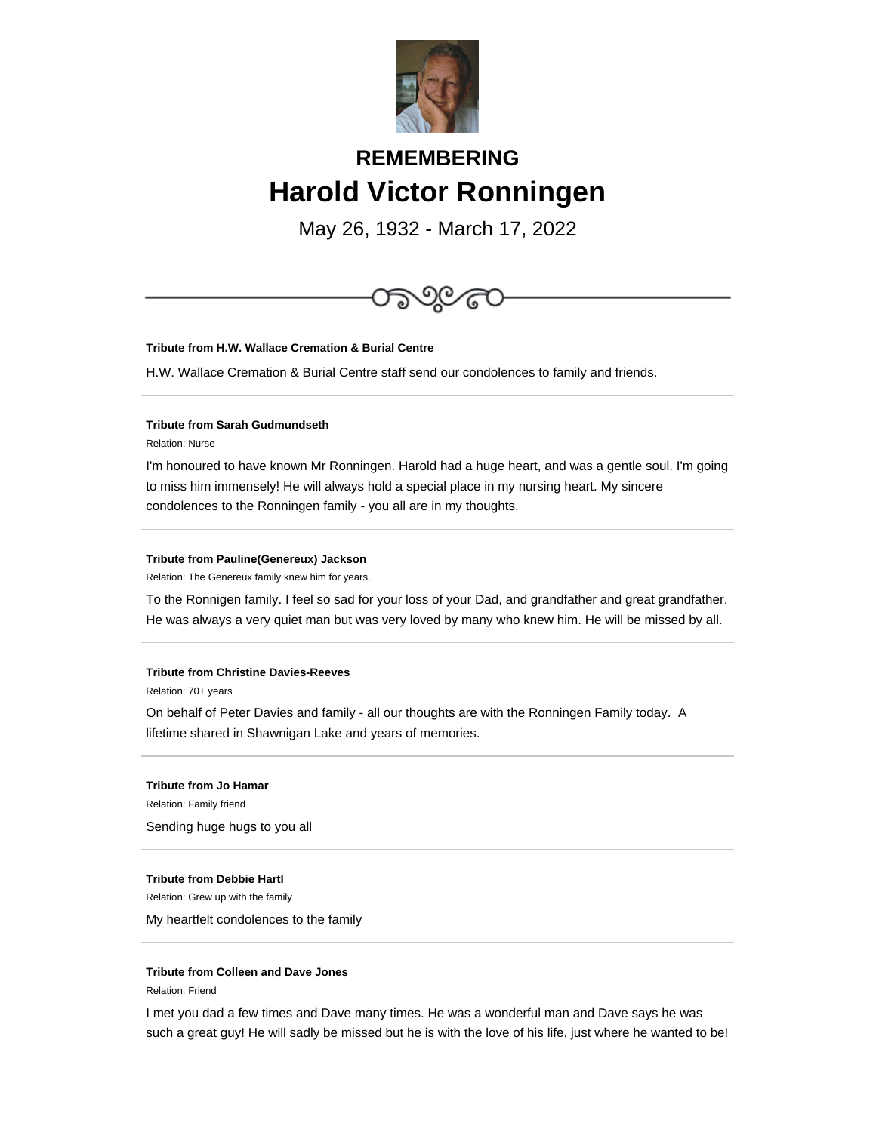

## **REMEMBERING Harold Victor Ronningen**

May 26, 1932 - March 17, 2022



Relation: 70+ years

On behalf of Peter Davies and family - all our thoughts are with the Ronningen Family today. A lifetime shared in Shawnigan Lake and years of memories.

**Tribute from Jo Hamar** Relation: Family friend Sending huge hugs to you all

## **Tribute from Debbie Hartl**

Relation: Grew up with the family

My heartfelt condolences to the family

## **Tribute from Colleen and Dave Jones**

Relation: Friend

I met you dad a few times and Dave many times. He was a wonderful man and Dave says he was such a great guy! He will sadly be missed but he is with the love of his life, just where he wanted to be!